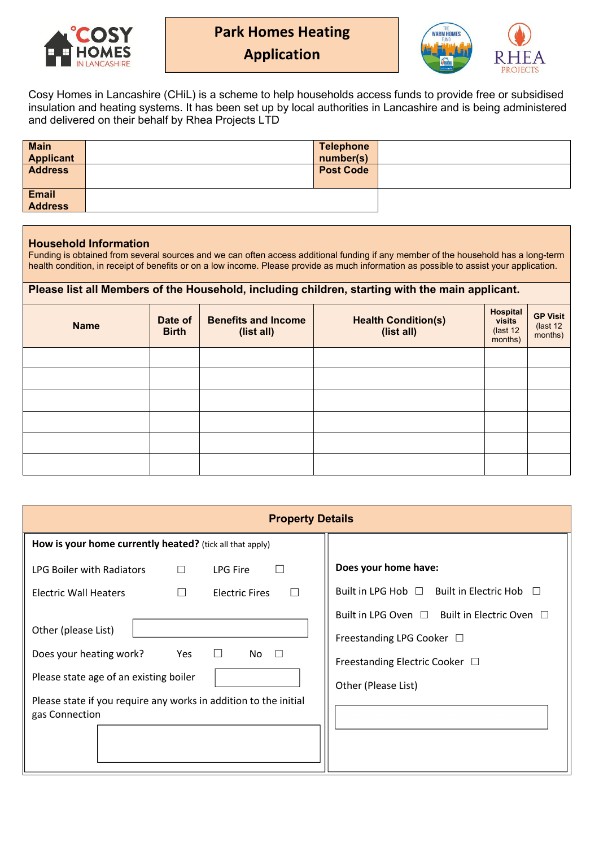

**Park Homes Heating**



**Application**

Cosy Homes in Lancashire (CHiL) is a scheme to help households access funds to provide free or subsidised insulation and heating systems. It has been set up by local authorities in Lancashire and is being administered and delivered on their behalf by Rhea Projects LTD

| <b>Main</b><br><b>Applicant</b> | <b>Telephone</b><br>number(s) |  |
|---------------------------------|-------------------------------|--|
| <b>Address</b>                  | <b>Post Code</b>              |  |
| <b>Email</b><br><b>Address</b>  |                               |  |

## **Household Information**

Funding is obtained from several sources and we can often access additional funding if any member of the household has a long-term health condition, in receipt of benefits or on a low income. Please provide as much information as possible to assist your application.

## **Please list all Members of the Household, including children, starting with the main applicant.**

| <b>Name</b> | Date of<br><b>Birth</b> | <b>Benefits and Income</b><br>(list all) | <b>Health Condition(s)</b><br>(list all) | Hospital<br>visits<br>(last 12)<br>months) | <b>GP Visit</b><br>(last 12)<br>months) |
|-------------|-------------------------|------------------------------------------|------------------------------------------|--------------------------------------------|-----------------------------------------|
|             |                         |                                          |                                          |                                            |                                         |
|             |                         |                                          |                                          |                                            |                                         |
|             |                         |                                          |                                          |                                            |                                         |
|             |                         |                                          |                                          |                                            |                                         |
|             |                         |                                          |                                          |                                            |                                         |
|             |                         |                                          |                                          |                                            |                                         |

| <b>Property Details</b>                                                            |                                                                           |  |  |
|------------------------------------------------------------------------------------|---------------------------------------------------------------------------|--|--|
| How is your home currently heated? (tick all that apply)                           |                                                                           |  |  |
| LPG Boiler with Radiators<br>LPG Fire<br>$\Box$<br>$\Box$                          | Does your home have:                                                      |  |  |
| $\Box$<br><b>Electric Wall Heaters</b><br><b>Electric Fires</b>                    | Built in LPG Hob □ Built in Electric Hob □                                |  |  |
| Other (please List)                                                                | Built in LPG Oven □ Built in Electric Oven □<br>Freestanding LPG Cooker □ |  |  |
| $\Box$<br>Does your heating work?<br>Yes<br>No $\square$                           | Freestanding Electric Cooker □                                            |  |  |
| Please state age of an existing boiler                                             | Other (Please List)                                                       |  |  |
| Please state if you require any works in addition to the initial<br>gas Connection |                                                                           |  |  |